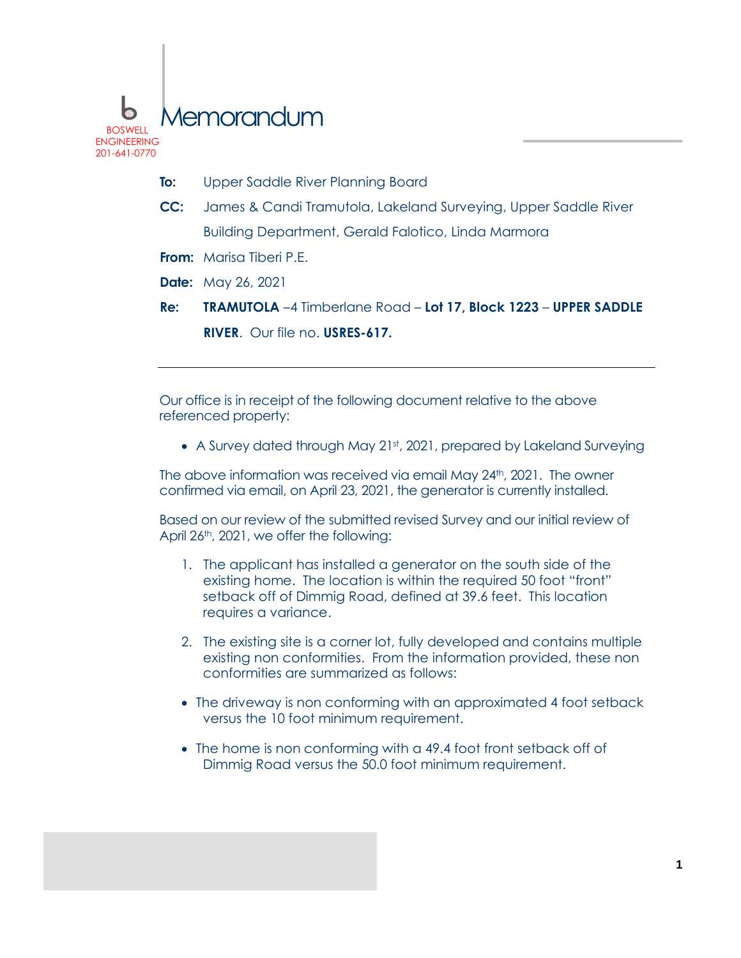

- **To:** Upper Saddle River Planning Board
- **CC:** James & Candi Tramutola, Lakeland Surveying, Upper Saddle River Building Department, Gerald Falotico, Linda Marmora
- **From:** Marisa Tiberi P.E.
- **Date:** May 26, 2021
- **Re: TRAMUTOLA** –4 Timberlane Road **Lot 17, Block 1223 UPPER SADDLE RIVER**. Our file no. **USRES-617.**

Our office is in receipt of the following document relative to the above referenced property:

• A Survey dated through May 21st, 2021, prepared by Lakeland Surveying

The above information was received via email May 24th, 2021. The owner confirmed via email, on April 23, 2021, the generator is currently installed.

Based on our review of the submitted revised Survey and our initial review of April 26<sup>th</sup>, 2021, we offer the following:

- 1. The applicant has installed a generator on the south side of the existing home. The location is within the required 50 foot "front" setback off of Dimmig Road, defined at 39.6 feet. This location requires a variance.
- 2. The existing site is a corner lot, fully developed and contains multiple existing non conformities. From the information provided, these non conformities are summarized as follows:
- The driveway is non conforming with an approximated 4 foot setback versus the 10 foot minimum requirement.
- The home is non conforming with a 49.4 foot front setback off of Dimmig Road versus the 50.0 foot minimum requirement.